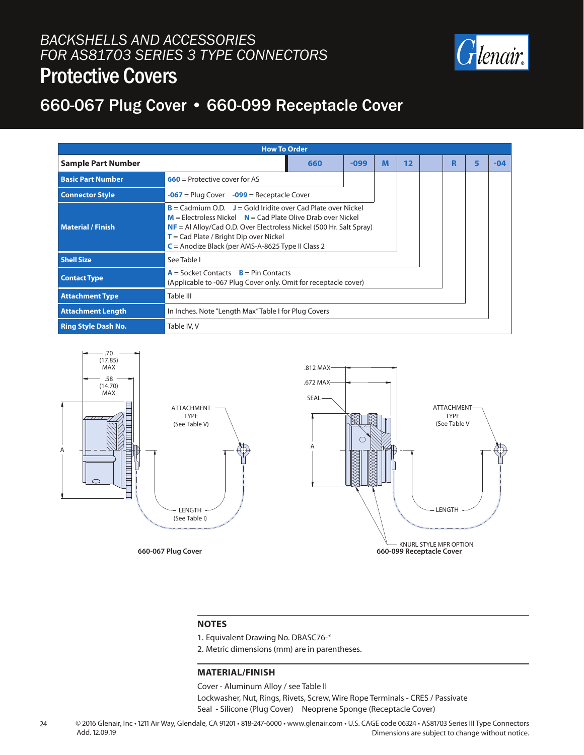#### *BACKSHELLS AND ACCESSORIES FOR AS81703 SERIES 3 TYPE CONNECTORS* Protective Covers



## 660-067 Plug Cover • 660-099 Receptacle Cover

| <b>How To Order</b>                 |                                                                                                                                                                                                                                                                                                                 |        |   |    |  |   |  |     |  |
|-------------------------------------|-----------------------------------------------------------------------------------------------------------------------------------------------------------------------------------------------------------------------------------------------------------------------------------------------------------------|--------|---|----|--|---|--|-----|--|
| <b>Sample Part Number</b>           | 660                                                                                                                                                                                                                                                                                                             | $-099$ | M | 12 |  | R |  | -04 |  |
| <b>Basic Part Number</b>            |                                                                                                                                                                                                                                                                                                                 |        |   |    |  |   |  |     |  |
| <b>Connector Style</b>              | $-067$ = Plug Cover $-099$ = Receptacle Cover                                                                                                                                                                                                                                                                   |        |   |    |  |   |  |     |  |
| <b>Material / Finish</b>            | $B =$ Cadmium O.D. $J =$ Gold Iridite over Cad Plate over Nickel<br>$M =$ Electroless Nickel $N =$ Cad Plate Olive Drab over Nickel<br>$NF = AI$ Alloy/Cad O.D. Over Electroless Nickel (500 Hr. Salt Spray)<br>$T =$ Cad Plate / Bright Dip over Nickel<br>$C =$ Anodize Black (per AMS-A-8625 Type II Class 2 |        |   |    |  |   |  |     |  |
| <b>Shell Size</b>                   | See Table I                                                                                                                                                                                                                                                                                                     |        |   |    |  |   |  |     |  |
| <b>Contact Type</b>                 | $A =$ Socket Contacts $B =$ Pin Contacts<br>(Applicable to -067 Plug Cover only. Omit for receptacle cover)                                                                                                                                                                                                     |        |   |    |  |   |  |     |  |
| <b>Attachment Type</b><br>Table III |                                                                                                                                                                                                                                                                                                                 |        |   |    |  |   |  |     |  |
| <b>Attachment Length</b>            | In Inches. Note "Length Max" Table I for Plug Covers                                                                                                                                                                                                                                                            |        |   |    |  |   |  |     |  |
| <b>Ring Style Dash No.</b>          | Table IV, V                                                                                                                                                                                                                                                                                                     |        |   |    |  |   |  |     |  |



#### **NOTES**

- 1. Equivalent Drawing No. DBASC76-\*
- 2. Metric dimensions (mm) are in parentheses.

#### **MATERIAL/FINISH**

Cover - Aluminum Alloy / see Table II

Lockwasher, Nut, Rings, Rivets, Screw, Wire Rope Terminals - CRES / Passivate Seal - Silicone (Plug Cover) Neoprene Sponge (Receptacle Cover)

24 © 2016 Glenair, Inc • 1211 Air Way, Glendale, CA 91201 • 818-247-6000 • www.glenair.com • U.S. CAGE code 06324 • AS81703 Series III Type Connectors Dimensions are subject to change without notice. Add. 12.09.19